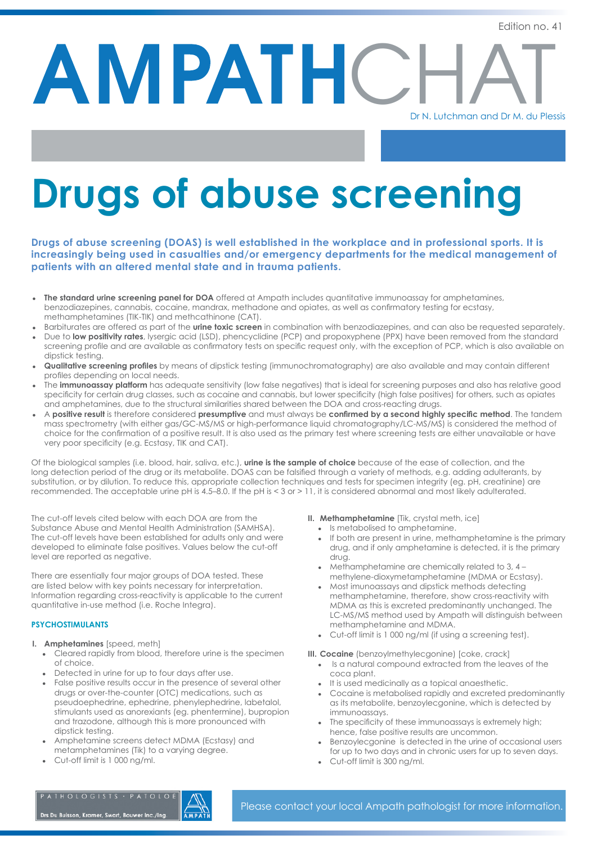AMPATHC

# Dr N. Lutchman and Dr M. du Plessis

# **Drugs of abuse screening**

**Drugs of abuse screening (DOAS) is well established in the workplace and in professional sports. It is increasingly being used in casualties and/or emergency departments for the medical management of patients with an altered mental state and in trauma patients.**

- **The standard urine screening panel for DOA** offered at Ampath includes quantitative immunoassay for amphetamines, benzodiazepines, cannabis, cocaine, mandrax, methadone and opiates, as well as confirmatory testing for ecstasy, methamphetamines (TIK-TIK) and methcathinone (CAT).
- Barbiturates are offered as part of the **urine toxic screen** in combination with benzodiazepines, and can also be requested separately.
- Due to **low positivity rates**, lysergic acid (LSD), phencyclidine (PCP) and propoxyphene (PPX) have been removed from the standard screening profile and are available as confirmatory tests on specific request only, with the exception of PCP, which is also available on dipstick testing.
- **Qualitative screening profiles** by means of dipstick testing (immunochromatography) are also available and may contain different profiles depending on local needs.
- The *immunoassay platform* has adequate sensitivity (low false negatives) that is ideal for screening purposes and also has relative good specificity for certain drug classes, such as cocaine and cannabis, but lower specificity (high false positives) for others, such as opiates and amphetamines, due to the structural similarities shared between the DOA and cross-reacting drugs.
- A **positive result** is therefore considered **presumptive** and must always be **confirmed by a second highly specific method**. The tandem mass spectrometry (with either gas/GC-MS/MS or high-performance liquid chromatography/LC-MS/MS) is considered the method of choice for the confirmation of a positive result. It is also used as the primary test where screening tests are either unavailable or have very poor specificity (e.g. Ecstasy, TIK and CAT).

Of the biological samples (i.e. blood, hair, saliva, etc.), **urine is the sample of choice** because of the ease of collection, and the long detection period of the drug or its metabolite. DOAS can be falsified through a variety of methods, e.g. adding adulterants, by substitution, or by dilution. To reduce this, appropriate collection techniques and tests for specimen integrity (eg. pH, creatinine) are recommended. The acceptable urine pH is 4.5–8.0. If the pH is < 3 or > 11, it is considered abnormal and most likely adulterated.

The cut-off levels cited below with each DOA are from the Substance Abuse and Mental Health Administration (SAMHSA). The cut-off levels have been established for adults only and were developed to eliminate false positives. Values below the cut-off level are reported as negative.

There are essentially four major groups of DOA tested. These are listed below with key points necessary for interpretation. Information regarding cross-reactivity is applicable to the current quantitative in-use method (i.e. Roche Integra).

#### **PSYCHOSTIMULANTS**

- **I. Amphetamines** [speed, meth]
	- Cleared rapidly from blood, therefore urine is the specimen of choice.
	- Detected in urine for up to four days after use.
	- False positive results occur in the presence of several other drugs or over-the-counter (OTC) medications, such as pseudoephedrine, ephedrine, phenylephedrine, labetalol, stimulants used as anorexiants (eg. phentermine), bupropion and trazodone, although this is more pronounced with dipstick testing.
	- Amphetamine screens detect MDMA (Ecstasy) and metamphetamines (Tik) to a varying degree.
	- Cut-off limit is 1 000 ng/ml.

#### **II. Methamphetamine** [Tik, crystal meth, ice]

- Is metabolised to amphetamine.
- If both are present in urine, methamphetamine is the primary drug, and if only amphetamine is detected, it is the primary drug.
- Methamphetamine are chemically related to  $3, 4$  methylene-dioxymetamphetamine (MDMA or Ecstasy).
- Most imunoassays and dipstick methods detecting methamphetamine, therefore, show cross-reactivity with MDMA as this is excreted predominantly unchanged. The LC-MS/MS method used by Ampath will distinguish between methamphetamine and MDMA.
- Cut-off limit is 1 000 ng/ml (if using a screening test).

#### **III. Cocaine** (benzoylmethylecgonine) [coke, crack]

- Is a natural compound extracted from the leaves of the coca plant.
- It is used medicinally as a topical anaesthetic.
- Cocaine is metabolised rapidly and excreted predominantly as its metabolite, benzoylecgonine, which is detected by immunoassays.
- The specificity of these immunoassays is extremely high; hence, false positive results are uncommon.
- Benzoylecgonine is detected in the urine of occasional users for up to two days and in chronic users for up to seven days.
- Cut-off limit is 300 ng/ml.

Drs Du Buisson, Kramer, Swart, Bouwer Inc./Ing.